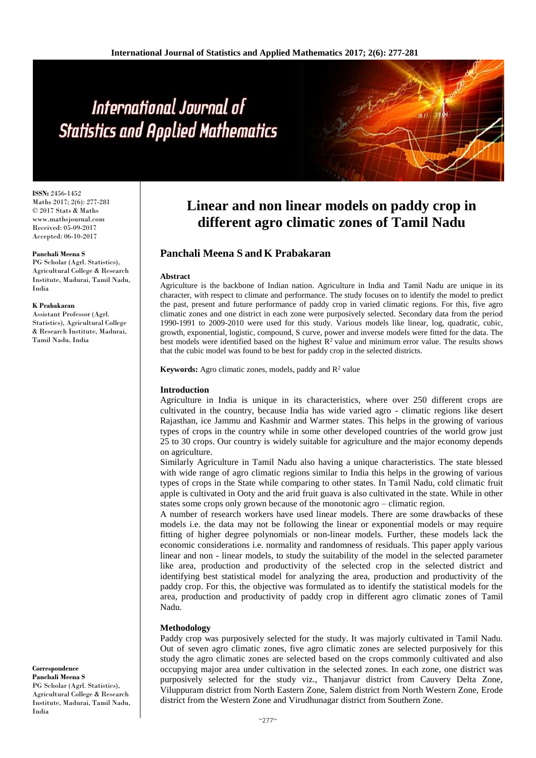# International Journal of **Statistics and Applied Mathematics**

**ISSN:** 2456-1452 Maths 2017; 2(6): 277-281 © 2017 Stats & Maths www.mathsjournal.com Received: 05-09-2017 Accepted: 06-10-2017

#### **Panchali Meena S**

PG Scholar (Agrl. Statistics), Agricultural College & Research Institute, Madurai, Tamil Nadu, India

#### **K Prabakaran**

Assistant Professor (Agrl. Statistics), Agricultural College & Research Institute, Madurai, Tamil Nadu, India

## **Correspondence Panchali Meena S** PG Scholar (Agrl. Statistics),

Agricultural College & Research Institute, Madurai, Tamil Nadu, India

# **Linear and non linear models on paddy crop in different agro climatic zones of Tamil Nadu**

### **Panchali Meena S and K Prabakaran**

#### **Abstract**

Agriculture is the backbone of Indian nation. Agriculture in India and Tamil Nadu are unique in its character, with respect to climate and performance. The study focuses on to identify the model to predict the past, present and future performance of paddy crop in varied climatic regions. For this, five agro climatic zones and one district in each zone were purposively selected. Secondary data from the period 1990-1991 to 2009-2010 were used for this study. Various models like linear, log, quadratic, cubic, growth, exponential, logistic, compound, S curve, power and inverse models were fitted for the data. The best models were identified based on the highest  $\mathbb{R}^2$  value and minimum error value. The results shows that the cubic model was found to be best for paddy crop in the selected districts.

**Keywords:** Agro climatic zones, models, paddy and R<sup>2</sup> value

#### **Introduction**

Agriculture in India is unique in its characteristics, where over 250 different crops are cultivated in the country, because India has wide varied agro - climatic regions like desert Rajasthan, ice Jammu and Kashmir and Warmer states. This helps in the growing of various types of crops in the country while in some other developed countries of the world grow just 25 to 30 crops. Our country is widely suitable for agriculture and the major economy depends on agriculture.

Similarly Agriculture in Tamil Nadu also having a unique characteristics. The state blessed with wide range of agro climatic regions similar to India this helps in the growing of various types of crops in the State while comparing to other states. In Tamil Nadu, cold climatic fruit apple is cultivated in Ooty and the arid fruit guava is also cultivated in the state. While in other states some crops only grown because of the monotonic agro – climatic region.

A number of research workers have used linear models. There are some drawbacks of these models i.e. the data may not be following the linear or exponential models or may require fitting of higher degree polynomials or non-linear models. Further, these models lack the economic considerations i.e. normality and randomness of residuals. This paper apply various linear and non - linear models, to study the suitability of the model in the selected parameter like area, production and productivity of the selected crop in the selected district and identifying best statistical model for analyzing the area, production and productivity of the paddy crop. For this, the objective was formulated as to identify the statistical models for the area, production and productivity of paddy crop in different agro climatic zones of Tamil Nadu.

#### **Methodology**

Paddy crop was purposively selected for the study. It was majorly cultivated in Tamil Nadu. Out of seven agro climatic zones, five agro climatic zones are selected purposively for this study the agro climatic zones are selected based on the crops commonly cultivated and also occupying major area under cultivation in the selected zones. In each zone, one district was purposively selected for the study viz., Thanjavur district from Cauvery Delta Zone, Viluppuram district from North Eastern Zone, Salem district from North Western Zone, Erode district from the Western Zone and Virudhunagar district from Southern Zone.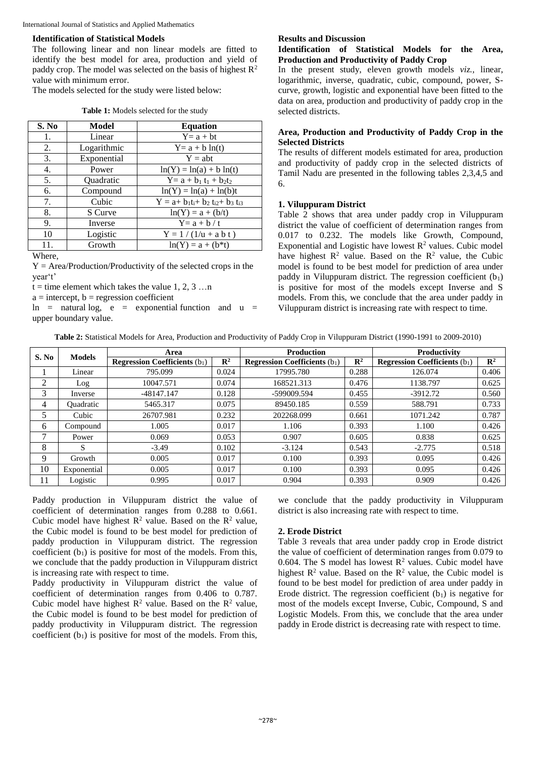International Journal of Statistics and Applied Mathematics

#### **Identification of Statistical Models**

The following linear and non linear models are fitted to identify the best model for area, production and yield of paddy crop. The model was selected on the basis of highest  $\mathbb{R}^2$ value with minimum error.

The models selected for the study were listed below:

|  | Table 1: Models selected for the study |
|--|----------------------------------------|
|--|----------------------------------------|

| S. No             | Model       | <b>Equation</b>                    |
|-------------------|-------------|------------------------------------|
| 1.                | Linear      | $Y = a + bt$                       |
| 2.                | Logarithmic | $Y = a + b \ln(t)$                 |
| 3.                | Exponential | $Y = abt$                          |
| 4.                | Power       | $ln(Y) = ln(a) + b ln(t)$          |
| 5.                | Quadratic   | $Y = a + b_1 t_1 + b_2 t_2$        |
| 6.                | Compound    | $ln(Y) = ln(a) + ln(b)t$           |
| 7.                | Cubic       | $Y = a + b_1t_1 + b_2t_1 + b_3t_1$ |
| 8.                | S Curve     | $ln(Y) = a + (b/t)$                |
| 9.                | Inverse     | $Y = a + b / t$                    |
| 10                | Logistic    | $Y = 1 / (1/u + a b t)$            |
| 11.               | Growth      | $ln(Y) = a + (b*t)$                |
| $\Pi$ / $\lambda$ |             |                                    |

Where,

 $Y = Area/Production/Productivity of the selected crops in the$ year't'

 $t =$  time element which takes the value 1, 2, 3 …n

 $a =$  intercept,  $b =$  regression coefficient

 $\ln$  = natural log, e = exponential function and u = upper boundary value.

#### **Results and Discussion**

#### **Identification of Statistical Models for the Area, Production and Productivity of Paddy Crop**

In the present study, eleven growth models *viz.,* linear, logarithmic, inverse, quadratic, cubic, compound, power, Scurve, growth, logistic and exponential have been fitted to the data on area, production and productivity of paddy crop in the selected districts.

#### **Area, Production and Productivity of Paddy Crop in the Selected Districts**

The results of different models estimated for area, production and productivity of paddy crop in the selected districts of Tamil Nadu are presented in the following tables 2,3,4,5 and 6.

#### **1. Viluppuram District**

Table 2 shows that area under paddy crop in Viluppuram district the value of coefficient of determination ranges from 0.017 to 0.232. The models like Growth, Compound, Exponential and Logistic have lowest  $R^2$  values. Cubic model have highest  $R^2$  value. Based on the  $R^2$  value, the Cubic model is found to be best model for prediction of area under paddy in Viluppuram district. The regression coefficient  $(b_1)$ is positive for most of the models except Inverse and S models. From this, we conclude that the area under paddy in Viluppuram district is increasing rate with respect to time.

| S. No | <b>Models</b>    | Area                                   |                | <b>Production</b>                      |                | <b>Productivity</b>                    |                |
|-------|------------------|----------------------------------------|----------------|----------------------------------------|----------------|----------------------------------------|----------------|
|       |                  | <b>Regression Coefficients</b> $(b_1)$ | $\mathbb{R}^2$ | <b>Regression Coefficients</b> $(b_1)$ | $\mathbf{R}^2$ | <b>Regression Coefficients</b> $(b_1)$ | $\mathbf{R}^2$ |
|       | Linear           | 795.099                                | 0.024          | 17995.780                              | 0.288          | 126.074                                | 0.406          |
| 2     | Log              | 10047.571                              | 0.074          | 168521.313                             | 0.476          | 1138.797                               | 0.625          |
| 3     | Inverse          | -48147.147                             | 0.128          | -599009.594                            | 0.455          | $-3912.72$                             | 0.560          |
| 4     | <b>Quadratic</b> | 5465.317                               | 0.075          | 89450.185                              | 0.559          | 588.791                                | 0.733          |
|       | Cubic            | 26707.981                              | 0.232          | 202268.099                             | 0.661          | 1071.242                               | 0.787          |
| 6     | Compound         | 1.005                                  | 0.017          | 1.106                                  | 0.393          | 1.100                                  | 0.426          |
|       | Power            | 0.069                                  | 0.053          | 0.907                                  | 0.605          | 0.838                                  | 0.625          |
| 8     | S                | $-3.49$                                | 0.102          | $-3.124$                               | 0.543          | $-2.775$                               | 0.518          |
| 9     | Growth           | 0.005                                  | 0.017          | 0.100                                  | 0.393          | 0.095                                  | 0.426          |
| 10    | Exponential      | 0.005                                  | 0.017          | 0.100                                  | 0.393          | 0.095                                  | 0.426          |
| 11    | Logistic         | 0.995                                  | 0.017          | 0.904                                  | 0.393          | 0.909                                  | 0.426          |

Paddy production in Viluppuram district the value of coefficient of determination ranges from 0.288 to 0.661. Cubic model have highest  $R^2$  value. Based on the  $R^2$  value, the Cubic model is found to be best model for prediction of paddy production in Viluppuram district. The regression coefficient  $(b_1)$  is positive for most of the models. From this, we conclude that the paddy production in Viluppuram district is increasing rate with respect to time.

Paddy productivity in Viluppuram district the value of coefficient of determination ranges from 0.406 to 0.787. Cubic model have highest  $R^2$  value. Based on the  $R^2$  value, the Cubic model is found to be best model for prediction of paddy productivity in Viluppuram district. The regression coefficient  $(b_1)$  is positive for most of the models. From this,

we conclude that the paddy productivity in Viluppuram district is also increasing rate with respect to time.

#### **2. Erode District**

Table 3 reveals that area under paddy crop in Erode district the value of coefficient of determination ranges from 0.079 to 0.604. The S model has lowest  $R^2$  values. Cubic model have highest  $R^2$  value. Based on the  $R^2$  value, the Cubic model is found to be best model for prediction of area under paddy in Erode district. The regression coefficient  $(b_1)$  is negative for most of the models except Inverse, Cubic, Compound, S and Logistic Models. From this, we conclude that the area under paddy in Erode district is decreasing rate with respect to time.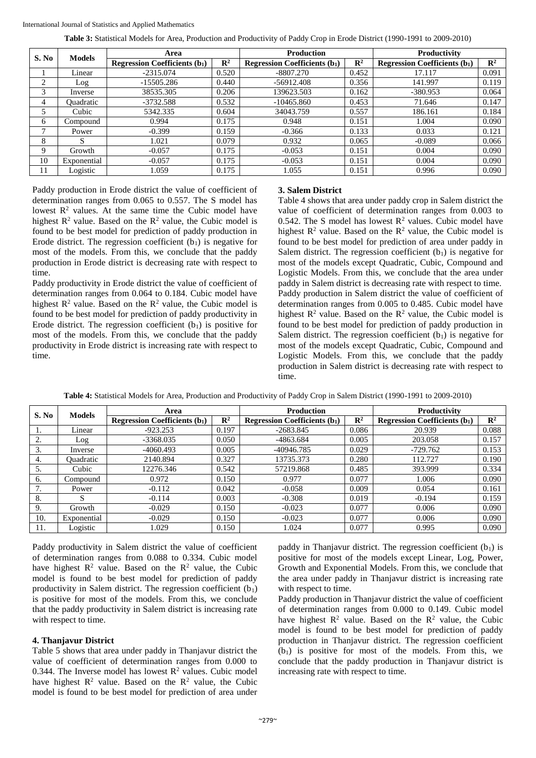**Table 3:** Statistical Models for Area, Production and Productivity of Paddy Crop in Erode District (1990-1991 to 2009-2010)

| S. No | <b>Models</b>    | Area                                |                | <b>Production</b>                   |                | Productivity                          |                |
|-------|------------------|-------------------------------------|----------------|-------------------------------------|----------------|---------------------------------------|----------------|
|       |                  | <b>Regression Coefficients (b1)</b> | $\mathbf{R}^2$ | <b>Regression Coefficients (b1)</b> | $\mathbb{R}^2$ | <b>Regression Coefficients</b> $(b1)$ | $\mathbf{R}^2$ |
|       | Linear           | $-2315.074$                         | 0.520          | $-8807.270$                         | 0.452          | 17.117                                | 0.091          |
| ◠     | Log              | -15505.286                          | 0.440          | $-56912.408$                        | 0.356          | 141.997                               | 0.119          |
| 3     | Inverse          | 38535.305                           | 0.206          | 139623.503                          | 0.162          | $-380.953$                            | 0.064          |
| 4     | <b>Ouadratic</b> | $-3732.588$                         | 0.532          | $-10465.860$                        | 0.453          | 71.646                                | 0.147          |
|       | Cubic            | 5342.335                            | 0.604          | 34043.759                           | 0.557          | 186.161                               | 0.184          |
| 6     | Compound         | 0.994                               | 0.175          | 0.948                               | 0.151          | 1.004                                 | 0.090          |
|       | Power            | $-0.399$                            | 0.159          | $-0.366$                            | 0.133          | 0.033                                 | 0.121          |
| 8     | S                | 1.021                               | 0.079          | 0.932                               | 0.065          | $-0.089$                              | 0.066          |
| 9     | Growth           | $-0.057$                            | 0.175          | $-0.053$                            | 0.151          | 0.004                                 | 0.090          |
| 10    | Exponential      | $-0.057$                            | 0.175          | $-0.053$                            | 0.151          | 0.004                                 | 0.090          |
| 11    | Logistic         | 1.059                               | 0.175          | 1.055                               | 0.151          | 0.996                                 | 0.090          |

Paddy production in Erode district the value of coefficient of determination ranges from 0.065 to 0.557. The S model has lowest  $R<sup>2</sup>$  values. At the same time the Cubic model have highest  $R^2$  value. Based on the  $R^2$  value, the Cubic model is found to be best model for prediction of paddy production in Erode district. The regression coefficient  $(b_1)$  is negative for most of the models. From this, we conclude that the paddy production in Erode district is decreasing rate with respect to time.

Paddy productivity in Erode district the value of coefficient of determination ranges from 0.064 to 0.184. Cubic model have highest  $R^2$  value. Based on the  $R^2$  value, the Cubic model is found to be best model for prediction of paddy productivity in Erode district. The regression coefficient  $(b<sub>1</sub>)$  is positive for most of the models. From this, we conclude that the paddy productivity in Erode district is increasing rate with respect to time.

#### **3. Salem District**

Table 4 shows that area under paddy crop in Salem district the value of coefficient of determination ranges from 0.003 to 0.542. The S model has lowest  $R^2$  values. Cubic model have highest  $R^2$  value. Based on the  $R^2$  value, the Cubic model is found to be best model for prediction of area under paddy in Salem district. The regression coefficient  $(b_1)$  is negative for most of the models except Quadratic, Cubic, Compound and Logistic Models. From this, we conclude that the area under paddy in Salem district is decreasing rate with respect to time. Paddy production in Salem district the value of coefficient of determination ranges from 0.005 to 0.485. Cubic model have highest  $R^2$  value. Based on the  $R^2$  value, the Cubic model is found to be best model for prediction of paddy production in Salem district. The regression coefficient  $(b<sub>1</sub>)$  is negative for most of the models except Quadratic, Cubic, Compound and Logistic Models. From this, we conclude that the paddy production in Salem district is decreasing rate with respect to time.

| Table 4: Statistical Models for Area, Production and Productivity of Paddy Crop in Salem District (1990-1991 to 2009-2010) |  |
|----------------------------------------------------------------------------------------------------------------------------|--|
|----------------------------------------------------------------------------------------------------------------------------|--|

| S. No | <b>Models</b>    | Area                                |                | <b>Production</b>                   |                | <b>Productivity</b>                 |                |
|-------|------------------|-------------------------------------|----------------|-------------------------------------|----------------|-------------------------------------|----------------|
|       |                  | <b>Regression Coefficients (b1)</b> | $\mathbf{R}^2$ | <b>Regression Coefficients (b1)</b> | $\mathbb{R}^2$ | <b>Regression Coefficients (b1)</b> | $\mathbb{R}^2$ |
| 1.    | Linear           | $-923.253$                          | 0.197          | $-2683.845$                         | 0.086          | 20.939                              | 0.088          |
| 2.    | Log              | $-3368.035$                         | 0.050          | -4863.684                           | 0.005          | 203.058                             | 0.157          |
| 3.    | Inverse          | $-4060.493$                         | 0.005          | -40946.785                          | 0.029          | $-729.762$                          | 0.153          |
| 4.    | <b>Ouadratic</b> | 2140.894                            | 0.327          | 13735.373                           | 0.280          | 112.727                             | 0.190          |
| 5.    | Cubic            | 12276.346                           | 0.542          | 57219.868                           | 0.485          | 393.999                             | 0.334          |
| 6.    | Compound         | 0.972                               | 0.150          | 0.977                               | 0.077          | 1.006                               | 0.090          |
| 7.    | Power            | $-0.112$                            | 0.042          | $-0.058$                            | 0.009          | 0.054                               | 0.161          |
| 8.    | S                | $-0.114$                            | 0.003          | $-0.308$                            | 0.019          | $-0.194$                            | 0.159          |
| 9.    | Growth           | $-0.029$                            | 0.150          | $-0.023$                            | 0.077          | 0.006                               | 0.090          |
| 10.   | Exponential      | $-0.029$                            | 0.150          | $-0.023$                            | 0.077          | 0.006                               | 0.090          |
| 11.   | Logistic         | 1.029                               | 0.150          | 1.024                               | 0.077          | 0.995                               | 0.090          |

Paddy productivity in Salem district the value of coefficient of determination ranges from 0.088 to 0.334. Cubic model have highest  $R^2$  value. Based on the  $R^2$  value, the Cubic model is found to be best model for prediction of paddy productivity in Salem district. The regression coefficient  $(b_1)$ is positive for most of the models. From this, we conclude that the paddy productivity in Salem district is increasing rate with respect to time.

#### **4. Thanjavur District**

Table 5 shows that area under paddy in Thanjavur district the value of coefficient of determination ranges from 0.000 to 0.344. The Inverse model has lowest  $R^2$  values. Cubic model have highest  $R^2$  value. Based on the  $R^2$  value, the Cubic model is found to be best model for prediction of area under paddy in Thanjavur district. The regression coefficient  $(b_1)$  is positive for most of the models except Linear, Log, Power, Growth and Exponential Models. From this, we conclude that the area under paddy in Thanjavur district is increasing rate with respect to time.

Paddy production in Thanjavur district the value of coefficient of determination ranges from 0.000 to 0.149. Cubic model have highest  $R^2$  value. Based on the  $R^2$  value, the Cubic model is found to be best model for prediction of paddy production in Thanjavur district. The regression coefficient  $(b<sub>1</sub>)$  is positive for most of the models. From this, we conclude that the paddy production in Thanjavur district is increasing rate with respect to time.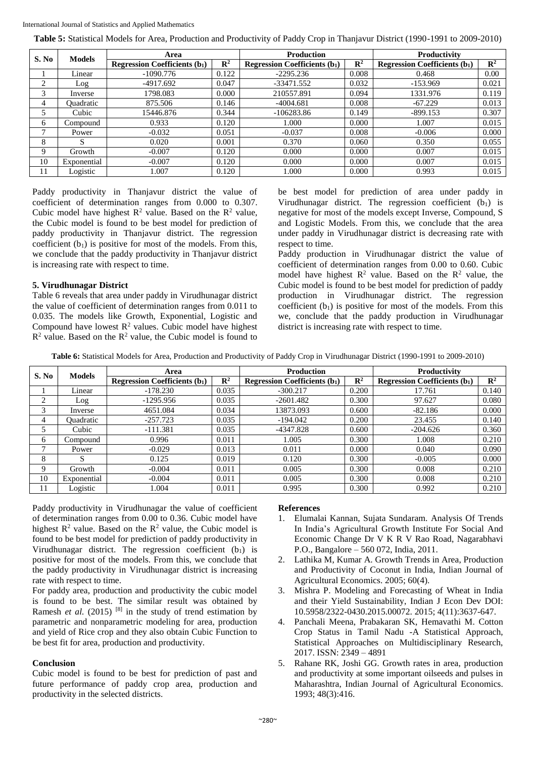International Journal of Statistics and Applied Mathematics

**Table 5:** Statistical Models for Area, Production and Productivity of Paddy Crop in Thanjavur District (1990-1991 to 2009-2010)

| S. No | <b>Models</b>    | Area                                  |                | <b>Production</b>                   |                | Productivity                          |                |
|-------|------------------|---------------------------------------|----------------|-------------------------------------|----------------|---------------------------------------|----------------|
|       |                  | <b>Regression Coefficients</b> $(b1)$ | $\mathbb{R}^2$ | <b>Regression Coefficients (b1)</b> | $\mathbb{R}^2$ | <b>Regression Coefficients</b> $(b1)$ | $\mathbb{R}^2$ |
|       | Linear           | $-1090.776$                           | 0.122          | $-2295.236$                         | 0.008          | 0.468                                 | 0.00           |
| ◠     | Log              | $-4917.692$                           | 0.047          | -33471.552                          | 0.032          | $-153.969$                            | 0.021          |
| 3     | Inverse          | 1798.083                              | 0.000          | 210557.891                          | 0.094          | 1331.976                              | 0.119          |
| 4     | <b>Ouadratic</b> | 875.506                               | 0.146          | $-4004.681$                         | 0.008          | $-67.229$                             | 0.013          |
|       | Cubic            | 15446.876                             | 0.344          | $-106283.86$                        | 0.149          | $-899.153$                            | 0.307          |
| 6     | Compound         | 0.933                                 | 0.120          | 1.000                               | 0.000          | 1.007                                 | 0.015          |
|       | Power            | $-0.032$                              | 0.051          | $-0.037$                            | 0.008          | $-0.006$                              | 0.000          |
| 8     | S                | 0.020                                 | 0.001          | 0.370                               | 0.060          | 0.350                                 | 0.055          |
| 9     | Growth           | $-0.007$                              | 0.120          | 0.000                               | 0.000          | 0.007                                 | 0.015          |
| 10    | Exponential      | $-0.007$                              | 0.120          | 0.000                               | 0.000          | 0.007                                 | 0.015          |
| 11    | Logistic         | 1.007                                 | 0.120          | 1.000                               | 0.000          | 0.993                                 | 0.015          |

Paddy productivity in Thanjavur district the value of coefficient of determination ranges from 0.000 to 0.307. Cubic model have highest  $R^2$  value. Based on the  $R^2$  value, the Cubic model is found to be best model for prediction of paddy productivity in Thanjavur district. The regression coefficient  $(b_1)$  is positive for most of the models. From this, we conclude that the paddy productivity in Thanjavur district is increasing rate with respect to time.

#### **5. Virudhunagar District**

Table 6 reveals that area under paddy in Virudhunagar district the value of coefficient of determination ranges from 0.011 to 0.035. The models like Growth, Exponential, Logistic and Compound have lowest  $R^2$  values. Cubic model have highest  $R<sup>2</sup>$  value. Based on the  $R<sup>2</sup>$  value, the Cubic model is found to be best model for prediction of area under paddy in Virudhunagar district. The regression coefficient  $(b<sub>1</sub>)$  is negative for most of the models except Inverse, Compound, S and Logistic Models. From this, we conclude that the area under paddy in Virudhunagar district is decreasing rate with respect to time.

Paddy production in Virudhunagar district the value of coefficient of determination ranges from 0.00 to 0.60. Cubic model have highest  $R^2$  value. Based on the  $R^2$  value, the Cubic model is found to be best model for prediction of paddy production in Virudhunagar district. The regression coefficient  $(b_1)$  is positive for most of the models. From this we, conclude that the paddy production in Virudhunagar district is increasing rate with respect to time.

**Table 6:** Statistical Models for Area, Production and Productivity of Paddy Crop in Virudhunagar District (1990-1991 to 2009-2010)

|       | <b>Models</b> | Area                                |                | <b>Production</b>                   |                | Productivity                        |                |
|-------|---------------|-------------------------------------|----------------|-------------------------------------|----------------|-------------------------------------|----------------|
| S. No |               | <b>Regression Coefficients (b1)</b> | $\mathbb{R}^2$ | <b>Regression Coefficients (b1)</b> | $\mathbb{R}^2$ | <b>Regression Coefficients (b1)</b> | $\mathbb{R}^2$ |
|       | Linear        | $-178.230$                          | 0.035          | $-300.217$                          | 0.200          | 17.761                              | 0.140          |
| 2     | Log           | $-1295.956$                         | 0.035          | $-2601.482$                         | 0.300          | 97.627                              | 0.080          |
| 3     | Inverse       | 4651.084                            | 0.034          | 13873.093                           | 0.600          | $-82.186$                           | 0.000          |
| 4     | Ouadratic     | $-257.723$                          | 0.035          | $-194.042$                          | 0.200          | 23.455                              | 0.140          |
|       | Cubic         | $-111.381$                          | 0.035          | -4347.828                           | 0.600          | $-204.626$                          | 0.360          |
| 6     | Compound      | 0.996                               | 0.011          | 1.005                               | 0.300          | 1.008                               | 0.210          |
|       | Power         | $-0.029$                            | 0.013          | 0.011                               | 0.000          | 0.040                               | 0.090          |
| 8     | S             | 0.125                               | 0.019          | 0.120                               | 0.300          | $-0.005$                            | 0.000          |
| 9     | Growth        | $-0.004$                            | 0.011          | 0.005                               | 0.300          | 0.008                               | 0.210          |
| 10    | Exponential   | $-0.004$                            | 0.011          | 0.005                               | 0.300          | 0.008                               | 0.210          |
| 11    | Logistic      | .004                                | 0.011          | 0.995                               | 0.300          | 0.992                               | 0.210          |

Paddy productivity in Virudhunagar the value of coefficient of determination ranges from 0.00 to 0.36. Cubic model have highest  $R^2$  value. Based on the  $R^2$  value, the Cubic model is found to be best model for prediction of paddy productivity in Virudhunagar district. The regression coefficient  $(b_1)$  is positive for most of the models. From this, we conclude that the paddy productivity in Virudhunagar district is increasing rate with respect to time.

For paddy area, production and productivity the cubic model is found to be best. The similar result was obtained by Ramesh *et al.* (2015) <sup>[8]</sup> in the study of trend estimation by parametric and nonparametric modeling for area, production and yield of Rice crop and they also obtain Cubic Function to be best fit for area, production and productivity.

#### **Conclusion**

Cubic model is found to be best for prediction of past and future performance of paddy crop area, production and productivity in the selected districts.

#### **References**

- 1. Elumalai Kannan, Sujata Sundaram. Analysis Of Trends In India's Agricultural Growth Institute For Social And Economic Change Dr V K R V Rao Road, Nagarabhavi P.O., Bangalore – 560 072, India, 2011.
- 2. Lathika M, Kumar A. Growth Trends in Area, Production and Productivity of Coconut in India, Indian Journal of Agricultural Economics. 2005; 60(4).
- 3. Mishra P. Modeling and Forecasting of Wheat in India and their Yield Sustainability, Indian J Econ Dev DOI: 10.5958/2322-0430.2015.00072. 2015; 4(11):3637-647.
- 4. Panchali Meena, Prabakaran SK, Hemavathi M. Cotton Crop Status in Tamil Nadu -A Statistical Approach, Statistical Approaches on Multidisciplinary Research, 2017. ISSN: 2349 – 4891
- 5. Rahane RK, Joshi GG. Growth rates in area, production and productivity at some important oilseeds and pulses in Maharashtra, Indian Journal of Agricultural Economics. 1993; 48(3):416.